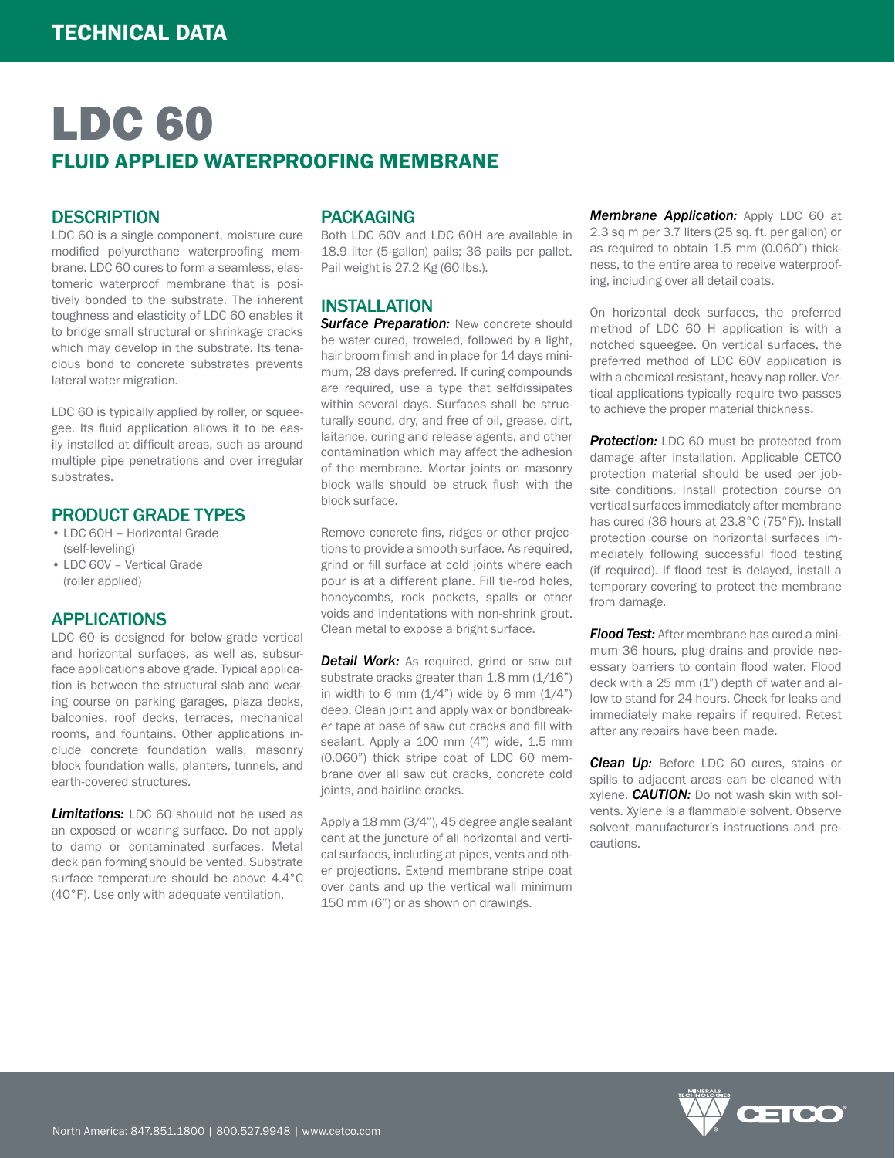# LDC 60 FLUID APPLIED WATERPROOFING MEMBRANE

### **DESCRIPTION**

LDC 60 is a single component, moisture cure modified polyurethane waterproofing membrane. LDC 60 cures to form a seamless, elastomeric waterproof membrane that is positively bonded to the substrate. The inherent toughness and elasticity of LDC 60 enables it to bridge small structural or shrinkage cracks which may develop in the substrate. Its tenacious bond to concrete substrates prevents lateral water migration.

LDC 60 is typically applied by roller, or squeegee. Its fluid application allows it to be easily installed at difficult areas, such as around multiple pipe penetrations and over irregular substrates.

### PRODUCT GRADE TYPES

- LDC 60H Horizontal Grade (self-leveling)
- LDC 60V Vertical Grade (roller applied)

#### APPLICATIONS

LDC 60 is designed for below-grade vertical and horizontal surfaces, as well as, subsurface applications above grade. Typical application is between the structural slab and wearing course on parking garages, plaza decks, balconies, roof decks, terraces, mechanical rooms, and fountains. Other applications include concrete foundation walls, masonry block foundation walls, planters, tunnels, and earth-covered structures.

**Limitations:** LDC 60 should not be used as an exposed or wearing surface. Do not apply to damp or contaminated surfaces. Metal deck pan forming should be vented. Substrate surface temperature should be above 4.4°C (40°F). Use only with adequate ventilation.

## PACKAGING

Both LDC 60V and LDC 60H are available in 18.9 liter (5-gallon) pails; 36 pails per pallet. Pail weight is 27.2 Kg (60 lbs.).

### INSTALLATION

*Surface Preparation:* New concrete should be water cured, troweled, followed by a light, hair broom finish and in place for 14 days minimum, 28 days preferred. If curing compounds are required, use a type that selfdissipates within several days. Surfaces shall be structurally sound, dry, and free of oil, grease, dirt, laitance, curing and release agents, and other contamination which may affect the adhesion of the membrane. Mortar joints on masonry block walls should be struck flush with the block surface.

Remove concrete fins, ridges or other projections to provide a smooth surface. As required, grind or fill surface at cold joints where each pour is at a different plane. Fill tie-rod holes, honeycombs, rock pockets, spalls or other voids and indentations with non-shrink grout. Clean metal to expose a bright surface.

**Detail Work:** As required, grind or saw cut substrate cracks greater than 1.8 mm (1/16") in width to 6 mm  $(1/4)$  wide by 6 mm  $(1/4)$ deep. Clean joint and apply wax or bondbreaker tape at base of saw cut cracks and fill with sealant. Apply a 100 mm (4") wide, 1.5 mm (0.060") thick stripe coat of LDC 60 membrane over all saw cut cracks, concrete cold joints, and hairline cracks.

Apply a 18 mm (3/4"), 45 degree angle sealant cant at the juncture of all horizontal and vertical surfaces, including at pipes, vents and other projections. Extend membrane stripe coat over cants and up the vertical wall minimum 150 mm (6") or as shown on drawings.

*Membrane Application:* Apply LDC 60 at 2.3 sq m per 3.7 liters (25 sq. ft. per gallon) or as required to obtain 1.5 mm (0.060") thickness, to the entire area to receive waterproofing, including over all detail coats.

On horizontal deck surfaces, the preferred method of LDC 60 H application is with a notched squeegee. On vertical surfaces, the preferred method of LDC 60V application is with a chemical resistant, heavy nap roller. Vertical applications typically require two passes to achieve the proper material thickness.

**Protection:** LDC 60 must be protected from damage after installation. Applicable CETCO protection material should be used per jobsite conditions. Install protection course on vertical surfaces immediately after membrane has cured (36 hours at 23.8°C (75°F)). Install protection course on horizontal surfaces immediately following successful flood testing (if required). If flood test is delayed, install a temporary covering to protect the membrane from damage.

*Flood Test:* After membrane has cured a minimum 36 hours, plug drains and provide necessary barriers to contain flood water. Flood deck with a 25 mm (1") depth of water and allow to stand for 24 hours. Check for leaks and immediately make repairs if required. Retest after any repairs have been made.

**Clean Up:** Before LDC 60 cures, stains or spills to adjacent areas can be cleaned with xylene. *CAUTION:* Do not wash skin with solvents. Xylene is a flammable solvent. Observe solvent manufacturer's instructions and precautions.